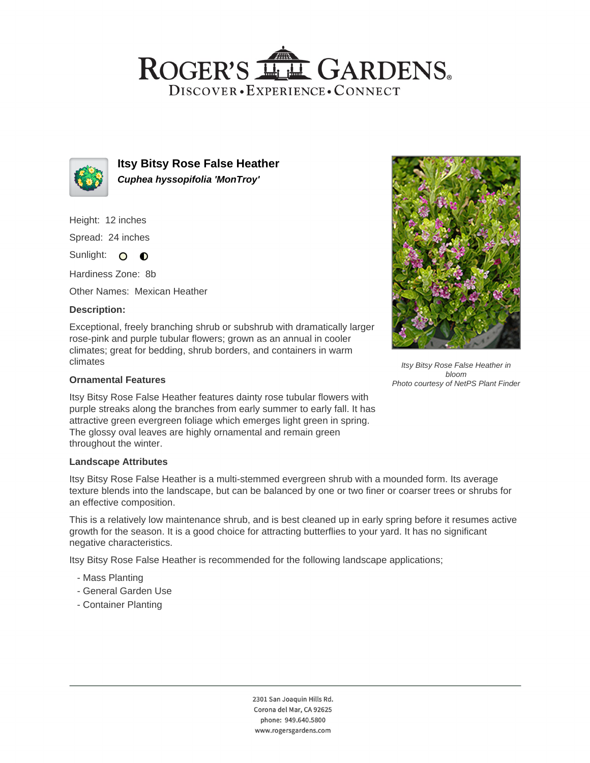## ROGER'S LL GARDENS. DISCOVER · EXPERIENCE · CONNECT



**Itsy Bitsy Rose False Heather Cuphea hyssopifolia 'MonTroy'**

Height: 12 inches

Spread: 24 inches

Sunlight: O **O** 

Hardiness Zone: 8b

Other Names: Mexican Heather

## **Description:**

Exceptional, freely branching shrub or subshrub with dramatically larger rose-pink and purple tubular flowers; grown as an annual in cooler climates; great for bedding, shrub borders, and containers in warm climates

### **Ornamental Features**

Itsy Bitsy Rose False Heather features dainty rose tubular flowers with purple streaks along the branches from early summer to early fall. It has attractive green evergreen foliage which emerges light green in spring. The glossy oval leaves are highly ornamental and remain green throughout the winter.

#### **Landscape Attributes**

Itsy Bitsy Rose False Heather is a multi-stemmed evergreen shrub with a mounded form. Its average texture blends into the landscape, but can be balanced by one or two finer or coarser trees or shrubs for an effective composition.

This is a relatively low maintenance shrub, and is best cleaned up in early spring before it resumes active growth for the season. It is a good choice for attracting butterflies to your yard. It has no significant negative characteristics.

Itsy Bitsy Rose False Heather is recommended for the following landscape applications;

- Mass Planting
- General Garden Use
- Container Planting



Itsy Bitsy Rose False Heather in bloom Photo courtesy of NetPS Plant Finder